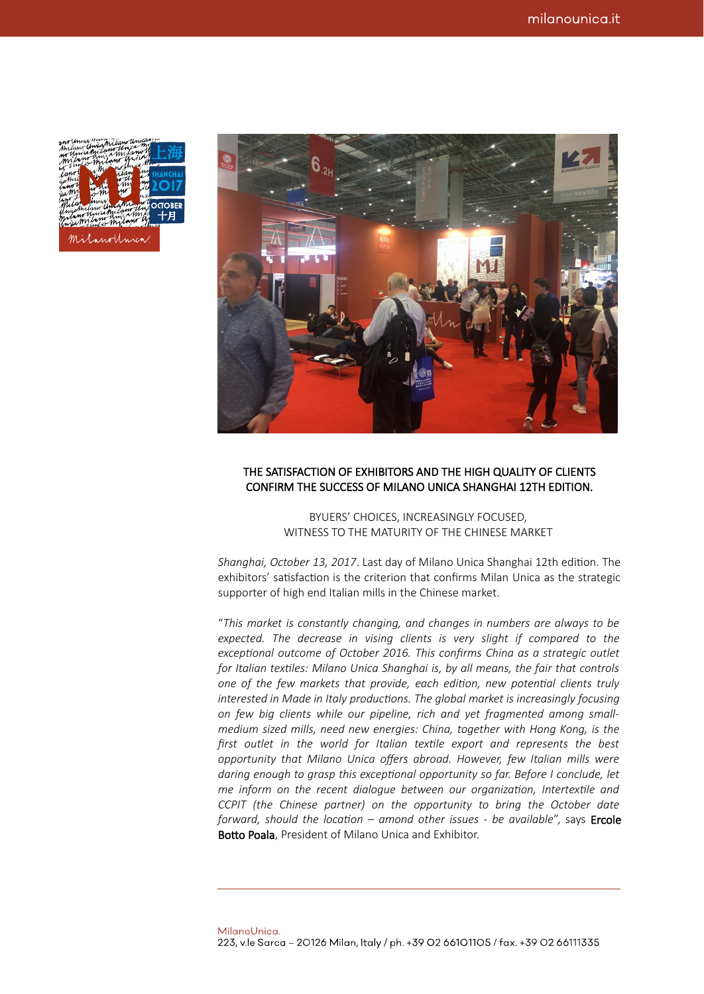|                                                | Milano Unda mayo writers         |                                     |     |                     |
|------------------------------------------------|----------------------------------|-------------------------------------|-----|---------------------|
| no Unicakritano Unica mi<br>milano amiamitanon |                                  |                                     |     |                     |
|                                                |                                  |                                     |     |                     |
| my think of Milano Willard                     |                                  | Mil no this May                     |     |                     |
|                                                |                                  | hilan <b>d</b>                      | 'ni |                     |
| canol                                          |                                  | $w^{n+1}$                           |     |                     |
| usthis                                         |                                  | $\blacktriangleright$ $\mathcal{W}$ |     | <b><i>M</i>2017</b> |
| innot                                          |                                  | $\mathsf{w}$                        |     |                     |
| iam<br>wal                                     | $\mathscr{S}^{\mathscr{M}}$      |                                     |     |                     |
|                                                | Marian Champen Maria May OCTOBER |                                     |     |                     |
|                                                |                                  |                                     |     |                     |
|                                                |                                  |                                     |     |                     |
|                                                | Milano Unia amia amila + 1       |                                     |     |                     |
|                                                |                                  |                                     |     |                     |
|                                                |                                  |                                     |     |                     |
|                                                | Milanolinica.                    |                                     |     |                     |
|                                                |                                  |                                     |     |                     |



## THE SATISFACTION OF EXHIBITORS AND THE HIGH QUALITY OF CLIENTS CONFIRM THE SUCCESS OF MILANO UNICA SHANGHAI 12TH EDITION.

BYUERS' CHOICES, INCREASINGLY FOCUSED, WITNESS TO THE MATURITY OF THE CHINESE MARKET

*Shanghai, October 13, 2017*. Last day of Milano Unica Shanghai 12th edition. The exhibitors' satisfaction is the criterion that confirms Milan Unica as the strategic supporter of high end Italian mills in the Chinese market.

"*This market is constantly changing, and changes in numbers are always to be expected. The decrease in vising clients is very slight if compared to the exceptional outcome of October 2016. This confirms China as a strategic outlet for Italian textiles: Milano Unica Shanghai is, by all means, the fair that controls one of the few markets that provide, each edition, new potential clients truly interested in Made in Italy productions. The global market is increasingly focusing on few big clients while our pipeline, rich and yet fragmented among smallmedium sized mills, need new energies: China, together with Hong Kong, is the first outlet in the world for Italian textile export and represents the best opportunity that Milano Unica offers abroad. However, few Italian mills were daring enough to grasp this exceptional opportunity so far. Before I conclude, let me inform on the recent dialogue between our organization, Intertextile and CCPIT (the Chinese partner) on the opportunity to bring the October date forward, should the location – amond other issues - be available*", says Ercole Botto Poala, President of Milano Unica and Exhibitor.